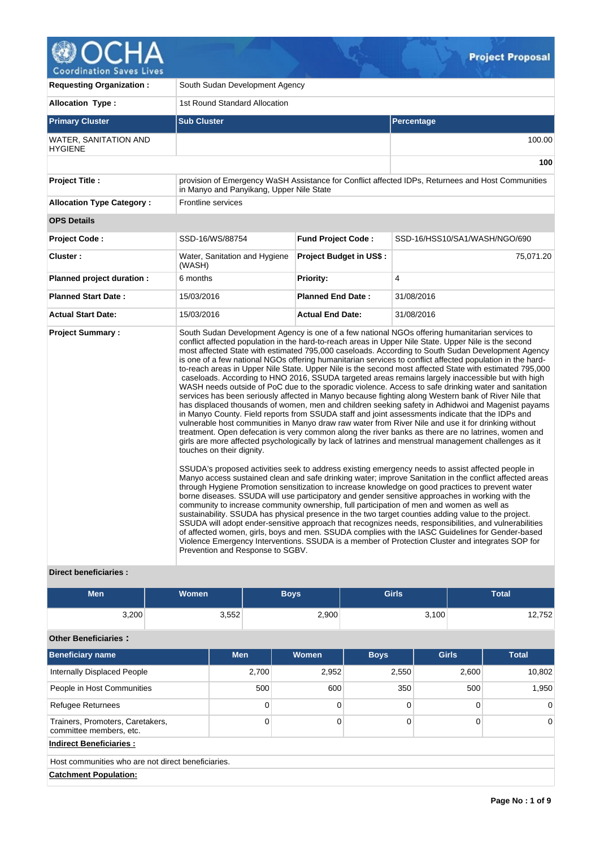

| <b>Requesting Organization:</b>                | South Sudan Development Agency                                |                                |                                                                                                                                                                                                                                                                                                                                                                                                                                                                                                                                                                                                                                                                                                                                                                                                                                                                                                                                                                                                                                                                                                                                                                                                                                                                                                                                                                                                                                                                                                                                                                                                                                                                                                                                                                                                                                                                                                                                                                                                                                                                                                                                                                                                                                                                                                                                         |  |  |  |  |
|------------------------------------------------|---------------------------------------------------------------|--------------------------------|-----------------------------------------------------------------------------------------------------------------------------------------------------------------------------------------------------------------------------------------------------------------------------------------------------------------------------------------------------------------------------------------------------------------------------------------------------------------------------------------------------------------------------------------------------------------------------------------------------------------------------------------------------------------------------------------------------------------------------------------------------------------------------------------------------------------------------------------------------------------------------------------------------------------------------------------------------------------------------------------------------------------------------------------------------------------------------------------------------------------------------------------------------------------------------------------------------------------------------------------------------------------------------------------------------------------------------------------------------------------------------------------------------------------------------------------------------------------------------------------------------------------------------------------------------------------------------------------------------------------------------------------------------------------------------------------------------------------------------------------------------------------------------------------------------------------------------------------------------------------------------------------------------------------------------------------------------------------------------------------------------------------------------------------------------------------------------------------------------------------------------------------------------------------------------------------------------------------------------------------------------------------------------------------------------------------------------------------|--|--|--|--|
| <b>Allocation Type:</b>                        | 1st Round Standard Allocation                                 |                                |                                                                                                                                                                                                                                                                                                                                                                                                                                                                                                                                                                                                                                                                                                                                                                                                                                                                                                                                                                                                                                                                                                                                                                                                                                                                                                                                                                                                                                                                                                                                                                                                                                                                                                                                                                                                                                                                                                                                                                                                                                                                                                                                                                                                                                                                                                                                         |  |  |  |  |
| <b>Primary Cluster</b>                         | <b>Sub Cluster</b>                                            |                                | Percentage                                                                                                                                                                                                                                                                                                                                                                                                                                                                                                                                                                                                                                                                                                                                                                                                                                                                                                                                                                                                                                                                                                                                                                                                                                                                                                                                                                                                                                                                                                                                                                                                                                                                                                                                                                                                                                                                                                                                                                                                                                                                                                                                                                                                                                                                                                                              |  |  |  |  |
| <b>WATER, SANITATION AND</b><br><b>HYGIENE</b> |                                                               |                                | 100.00                                                                                                                                                                                                                                                                                                                                                                                                                                                                                                                                                                                                                                                                                                                                                                                                                                                                                                                                                                                                                                                                                                                                                                                                                                                                                                                                                                                                                                                                                                                                                                                                                                                                                                                                                                                                                                                                                                                                                                                                                                                                                                                                                                                                                                                                                                                                  |  |  |  |  |
|                                                |                                                               |                                | 100                                                                                                                                                                                                                                                                                                                                                                                                                                                                                                                                                                                                                                                                                                                                                                                                                                                                                                                                                                                                                                                                                                                                                                                                                                                                                                                                                                                                                                                                                                                                                                                                                                                                                                                                                                                                                                                                                                                                                                                                                                                                                                                                                                                                                                                                                                                                     |  |  |  |  |
| <b>Project Title:</b>                          | in Manyo and Panyikang, Upper Nile State                      |                                | provision of Emergency WaSH Assistance for Conflict affected IDPs, Returnees and Host Communities                                                                                                                                                                                                                                                                                                                                                                                                                                                                                                                                                                                                                                                                                                                                                                                                                                                                                                                                                                                                                                                                                                                                                                                                                                                                                                                                                                                                                                                                                                                                                                                                                                                                                                                                                                                                                                                                                                                                                                                                                                                                                                                                                                                                                                       |  |  |  |  |
| <b>Allocation Type Category:</b>               | <b>Frontline services</b>                                     |                                |                                                                                                                                                                                                                                                                                                                                                                                                                                                                                                                                                                                                                                                                                                                                                                                                                                                                                                                                                                                                                                                                                                                                                                                                                                                                                                                                                                                                                                                                                                                                                                                                                                                                                                                                                                                                                                                                                                                                                                                                                                                                                                                                                                                                                                                                                                                                         |  |  |  |  |
| <b>OPS Details</b>                             |                                                               |                                |                                                                                                                                                                                                                                                                                                                                                                                                                                                                                                                                                                                                                                                                                                                                                                                                                                                                                                                                                                                                                                                                                                                                                                                                                                                                                                                                                                                                                                                                                                                                                                                                                                                                                                                                                                                                                                                                                                                                                                                                                                                                                                                                                                                                                                                                                                                                         |  |  |  |  |
| <b>Project Code:</b>                           | SSD-16/WS/88754                                               | <b>Fund Project Code:</b>      | SSD-16/HSS10/SA1/WASH/NGO/690                                                                                                                                                                                                                                                                                                                                                                                                                                                                                                                                                                                                                                                                                                                                                                                                                                                                                                                                                                                                                                                                                                                                                                                                                                                                                                                                                                                                                                                                                                                                                                                                                                                                                                                                                                                                                                                                                                                                                                                                                                                                                                                                                                                                                                                                                                           |  |  |  |  |
| Cluster:                                       | Water, Sanitation and Hygiene<br>(WASH)                       | <b>Project Budget in US\$:</b> | 75,071.20                                                                                                                                                                                                                                                                                                                                                                                                                                                                                                                                                                                                                                                                                                                                                                                                                                                                                                                                                                                                                                                                                                                                                                                                                                                                                                                                                                                                                                                                                                                                                                                                                                                                                                                                                                                                                                                                                                                                                                                                                                                                                                                                                                                                                                                                                                                               |  |  |  |  |
| Planned project duration :                     | 6 months                                                      | Priority:                      | $\overline{4}$                                                                                                                                                                                                                                                                                                                                                                                                                                                                                                                                                                                                                                                                                                                                                                                                                                                                                                                                                                                                                                                                                                                                                                                                                                                                                                                                                                                                                                                                                                                                                                                                                                                                                                                                                                                                                                                                                                                                                                                                                                                                                                                                                                                                                                                                                                                          |  |  |  |  |
| <b>Planned Start Date:</b>                     | 15/03/2016                                                    | <b>Planned End Date:</b>       | 31/08/2016                                                                                                                                                                                                                                                                                                                                                                                                                                                                                                                                                                                                                                                                                                                                                                                                                                                                                                                                                                                                                                                                                                                                                                                                                                                                                                                                                                                                                                                                                                                                                                                                                                                                                                                                                                                                                                                                                                                                                                                                                                                                                                                                                                                                                                                                                                                              |  |  |  |  |
| <b>Actual Start Date:</b>                      | 15/03/2016                                                    | <b>Actual End Date:</b>        | 31/08/2016                                                                                                                                                                                                                                                                                                                                                                                                                                                                                                                                                                                                                                                                                                                                                                                                                                                                                                                                                                                                                                                                                                                                                                                                                                                                                                                                                                                                                                                                                                                                                                                                                                                                                                                                                                                                                                                                                                                                                                                                                                                                                                                                                                                                                                                                                                                              |  |  |  |  |
| <b>Project Summary:</b>                        | touches on their dignity.<br>Prevention and Response to SGBV. |                                | South Sudan Development Agency is one of a few national NGOs offering humanitarian services to<br>conflict affected population in the hard-to-reach areas in Upper Nile State. Upper Nile is the second<br>most affected State with estimated 795,000 caseloads. According to South Sudan Development Agency<br>is one of a few national NGOs offering humanitarian services to conflict affected population in the hard-<br>to-reach areas in Upper Nile State. Upper Nile is the second most affected State with estimated 795,000<br>caseloads. According to HNO 2016, SSUDA targeted areas remains largely inaccessible but with high<br>WASH needs outside of PoC due to the sporadic violence. Access to safe drinking water and sanitation<br>services has been seriously affected in Manyo because fighting along Western bank of River Nile that<br>has displaced thousands of women, men and children seeking safety in Adhidwoi and Magenist payams<br>in Manyo County. Field reports from SSUDA staff and joint assessments indicate that the IDPs and<br>vulnerable host communities in Manyo draw raw water from River Nile and use it for drinking without<br>treatment. Open defecation is very common along the river banks as there are no latrines, women and<br>girls are more affected psychologically by lack of latrines and menstrual management challenges as it<br>SSUDA's proposed activities seek to address existing emergency needs to assist affected people in<br>Manyo access sustained clean and safe drinking water; improve Sanitation in the conflict affected areas<br>through Hygiene Promotion sensitization to increase knowledge on good practices to prevent water<br>borne diseases. SSUDA will use participatory and gender sensitive approaches in working with the<br>community to increase community ownership, full participation of men and women as well as<br>sustainability. SSUDA has physical presence in the two target counties adding value to the project.<br>SSUDA will adopt ender-sensitive approach that recognizes needs, responsibilities, and vulnerabilities<br>of affected women, girls, boys and men. SSUDA complies with the IASC Guidelines for Gender-based<br>Violence Emergency Interventions. SSUDA is a member of Protection Cluster and integrates SOP for |  |  |  |  |

# **Direct beneficiaries :**

| <b>Men</b> | Women <sup>1</sup> | Boys  | <b>Girls</b> | <b>Total</b> |
|------------|--------------------|-------|--------------|--------------|
| 3,200      | 3,552              | 2,900 | 3,100        | 12,752       |

# **Other Beneficiaries :**

| <b>Beneficiary name</b>                                     | <b>Men</b> | Women | <b>Boys</b> | <b>Girls</b> | <b>Total</b> |  |  |
|-------------------------------------------------------------|------------|-------|-------------|--------------|--------------|--|--|
| Internally Displaced People                                 | 2.700      | 2,952 | 2,550       | 2,600        | 10,802       |  |  |
| People in Host Communities                                  | 500        | 600   | 350         | 500          | 1,950        |  |  |
| <b>Refugee Returnees</b>                                    | 0          |       |             | 0            |              |  |  |
| Trainers, Promoters, Caretakers,<br>committee members, etc. | 0          |       |             | 0            | $\Omega$     |  |  |
| <b>Indirect Beneficiaries:</b>                              |            |       |             |              |              |  |  |
| Host communities who are not direct beneficiaries.          |            |       |             |              |              |  |  |
| <b>Catchment Population:</b>                                |            |       |             |              |              |  |  |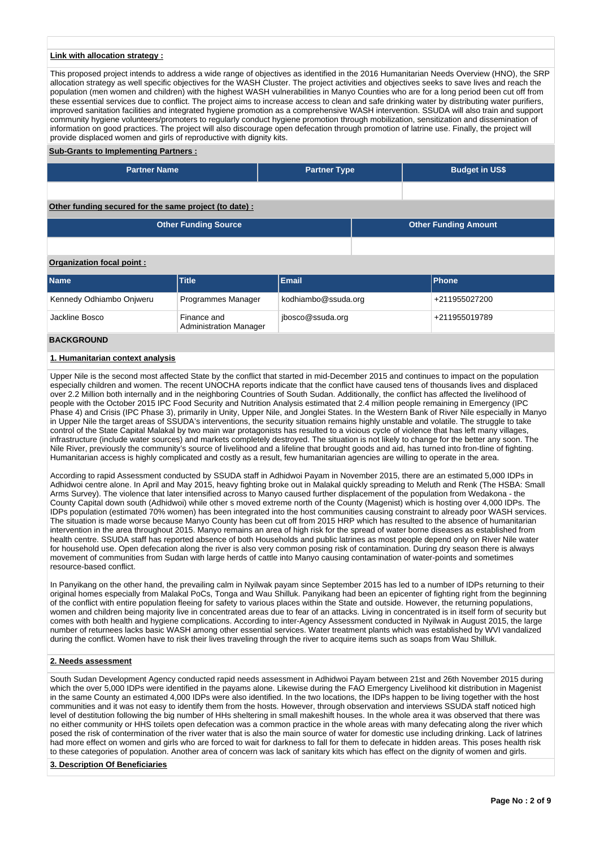### **Link with allocation strategy :**

This proposed project intends to address a wide range of objectives as identified in the 2016 Humanitarian Needs Overview (HNO), the SRP allocation strategy as well specific objectives for the WASH Cluster. The project activities and objectives seeks to save lives and reach the population (men women and children) with the highest WASH vulnerabilities in Manyo Counties who are for a long period been cut off from these essential services due to conflict. The project aims to increase access to clean and safe drinking water by distributing water purifiers, improved sanitation facilities and integrated hygiene promotion as a comprehensive WASH intervention. SSUDA will also train and support community hygiene volunteers/promoters to regularly conduct hygiene promotion through mobilization, sensitization and dissemination of information on good practices. The project will also discourage open defecation through promotion of latrine use. Finally, the project will provide displaced women and girls of reproductive with dignity kits.

### **Sub-Grants to Implementing Partners :**

| <b>Partner Name</b>                                   | <b>Partner Type</b> | <b>Budget in US\$</b> |  |  |  |  |  |
|-------------------------------------------------------|---------------------|-----------------------|--|--|--|--|--|
|                                                       |                     |                       |  |  |  |  |  |
| Other funding secured for the same project (to date): |                     |                       |  |  |  |  |  |

| <b>Other Funding Source</b> | <b>Other Funding Amount</b> |
|-----------------------------|-----------------------------|
|                             |                             |

### **Organization focal point :**

| <b>Name</b>              | <b>Title</b>                                 | <b>Email</b>        | <b>IPhone</b> |
|--------------------------|----------------------------------------------|---------------------|---------------|
| Kennedy Odhiambo Onjweru | Programmes Manager                           | kodhiambo@ssuda.org | +211955027200 |
| Jackline Bosco           | Finance and<br><b>Administration Manager</b> | jbosco@ssuda.org    | +211955019789 |

## **BACKGROUND**

### **1. Humanitarian context analysis**

Upper Nile is the second most affected State by the conflict that started in mid-December 2015 and continues to impact on the population especially children and women. The recent UNOCHA reports indicate that the conflict have caused tens of thousands lives and displaced over 2.2 Million both internally and in the neighboring Countries of South Sudan. Additionally, the conflict has affected the livelihood of people with the October 2015 IPC Food Security and Nutrition Analysis estimated that 2.4 million people remaining in Emergency (IPC Phase 4) and Crisis (IPC Phase 3), primarily in Unity, Upper Nile, and Jonglei States. In the Western Bank of River Nile especially in Manyo in Upper Nile the target areas of SSUDA's interventions, the security situation remains highly unstable and volatile. The struggle to take control of the State Capital Malakal by two main war protagonists has resulted to a vicious cycle of violence that has left many villages, infrastructure (include water sources) and markets completely destroyed. The situation is not likely to change for the better any soon. The Nile River, previously the community's source of livelihood and a lifeline that brought goods and aid, has turned into fron-tline of fighting. Humanitarian access is highly complicated and costly as a result, few humanitarian agencies are willing to operate in the area.

According to rapid Assessment conducted by SSUDA staff in Adhidwoi Payam in November 2015, there are an estimated 5,000 IDPs in Adhidwoi centre alone. In April and May 2015, heavy fighting broke out in Malakal quickly spreading to Meluth and Renk (The HSBA: Small Arms Survey). The violence that later intensified across to Manyo caused further displacement of the population from Wedakona - the County Capital down south (Adhidwoi) while other s moved extreme north of the County (Magenist) which is hosting over 4,000 IDPs. The IDPs population (estimated 70% women) has been integrated into the host communities causing constraint to already poor WASH services. The situation is made worse because Manyo County has been cut off from 2015 HRP which has resulted to the absence of humanitarian intervention in the area throughout 2015. Manyo remains an area of high risk for the spread of water borne diseases as established from health centre. SSUDA staff has reported absence of both Households and public latrines as most people depend only on River Nile water for household use. Open defecation along the river is also very common posing risk of contamination. During dry season there is always movement of communities from Sudan with large herds of cattle into Manyo causing contamination of water-points and sometimes resource-based conflict.

In Panyikang on the other hand, the prevailing calm in Nyilwak payam since September 2015 has led to a number of IDPs returning to their original homes especially from Malakal PoCs, Tonga and Wau Shilluk. Panyikang had been an epicenter of fighting right from the beginning of the conflict with entire population fleeing for safety to various places within the State and outside. However, the returning populations, women and children being majority live in concentrated areas due to fear of an attacks. Living in concentrated is in itself form of security but comes with both health and hygiene complications. According to inter-Agency Assessment conducted in Nyilwak in August 2015, the large number of returnees lacks basic WASH among other essential services. Water treatment plants which was established by WVI vandalized during the conflict. Women have to risk their lives traveling through the river to acquire items such as soaps from Wau Shilluk.

### **2. Needs assessment**

South Sudan Development Agency conducted rapid needs assessment in Adhidwoi Payam between 21st and 26th November 2015 during which the over 5,000 IDPs were identified in the payams alone. Likewise during the FAO Emergency Livelihood kit distribution in Magenist in the same County an estimated 4,000 IDPs were also identified. In the two locations, the IDPs happen to be living together with the host communities and it was not easy to identify them from the hosts. However, through observation and interviews SSUDA staff noticed high level of destitution following the big number of HHs sheltering in small makeshift houses. In the whole area it was observed that there was no either community or HHS toilets open defecation was a common practice in the whole areas with many defecating along the river which posed the risk of contermination of the river water that is also the main source of water for domestic use including drinking. Lack of latrines had more effect on women and girls who are forced to wait for darkness to fall for them to defecate in hidden areas. This poses health risk to these categories of population. Another area of concern was lack of sanitary kits which has effect on the dignity of women and girls.

#### **3. Description Of Beneficiaries**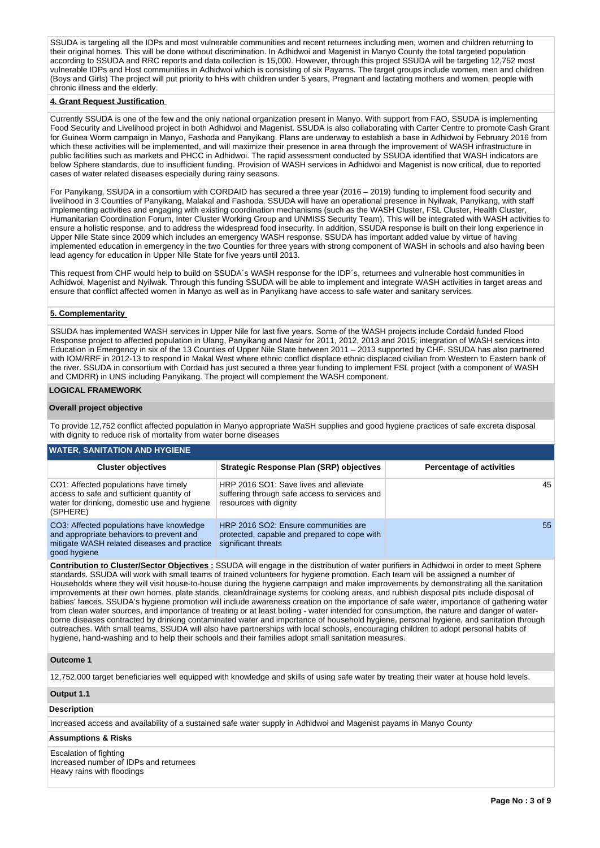SSUDA is targeting all the IDPs and most vulnerable communities and recent returnees including men, women and children returning to their original homes. This will be done without discrimination. In Adhidwoi and Magenist in Manyo County the total targeted population according to SSUDA and RRC reports and data collection is 15,000. However, through this project SSUDA will be targeting 12,752 most vulnerable IDPs and Host communities in Adhidwoi which is consisting of six Payams. The target groups include women, men and children (Boys and Girls) The project will put priority to hHs with children under 5 years, Pregnant and lactating mothers and women, people with chronic illness and the elderly.

### **4. Grant Request Justification**

Currently SSUDA is one of the few and the only national organization present in Manyo. With support from FAO, SSUDA is implementing Food Security and Livelihood project in both Adhidwoi and Magenist. SSUDA is also collaborating with Carter Centre to promote Cash Grant for Guinea Worm campaign in Manyo, Fashoda and Panyikang. Plans are underway to establish a base in Adhidwoi by February 2016 from which these activities will be implemented, and will maximize their presence in area through the improvement of WASH infrastructure in public facilities such as markets and PHCC in Adhidwoi. The rapid assessment conducted by SSUDA identified that WASH indicators are below Sphere standards, due to insufficient funding. Provision of WASH services in Adhidwoi and Magenist is now critical, due to reported cases of water related diseases especially during rainy seasons.

For Panyikang, SSUDA in a consortium with CORDAID has secured a three year (2016 – 2019) funding to implement food security and livelihood in 3 Counties of Panyikang, Malakal and Fashoda. SSUDA will have an operational presence in Nyilwak, Panyikang, with staff implementing activities and engaging with existing coordination mechanisms (such as the WASH Cluster, FSL Cluster, Health Cluster, Humanitarian Coordination Forum, Inter Cluster Working Group and UNMISS Security Team). This will be integrated with WASH activities to ensure a holistic response, and to address the widespread food insecurity. In addition, SSUDA response is built on their long experience in Upper Nile State since 2009 which includes an emergency WASH response. SSUDA has important added value by virtue of having implemented education in emergency in the two Counties for three years with strong component of WASH in schools and also having been lead agency for education in Upper Nile State for five years until 2013.

This request from CHF would help to build on SSUDA´s WASH response for the IDP´s, returnees and vulnerable host communities in Adhidwoi, Magenist and Nyilwak. Through this funding SSUDA will be able to implement and integrate WASH activities in target areas and ensure that conflict affected women in Manyo as well as in Panyikang have access to safe water and sanitary services.

### **5. Complementarity**

SSUDA has implemented WASH services in Upper Nile for last five years. Some of the WASH projects include Cordaid funded Flood Response project to affected population in Ulang, Panyikang and Nasir for 2011, 2012, 2013 and 2015; integration of WASH services into Education in Emergency in six of the 13 Counties of Upper Nile State between 2011 – 2013 supported by CHF. SSUDA has also partnered with IOM/RRF in 2012-13 to respond in Makal West where ethnic conflict displace ethnic displaced civilian from Western to Eastern bank of the river. SSUDA in consortium with Cordaid has just secured a three year funding to implement FSL project (with a component of WASH and CMDRR) in UNS including Panyikang. The project will complement the WASH component.

### **LOGICAL FRAMEWORK**

#### **Overall project objective**

To provide 12,752 conflict affected population in Manyo appropriate WaSH supplies and good hygiene practices of safe excreta disposal with dignity to reduce risk of mortality from water borne diseases

## **WATER, SANITATION AND HYGIENE**

| <b>Cluster objectives</b>                                                                                                                           | <b>Strategic Response Plan (SRP) objectives</b>                                                                   | <b>Percentage of activities</b> |
|-----------------------------------------------------------------------------------------------------------------------------------------------------|-------------------------------------------------------------------------------------------------------------------|---------------------------------|
| CO1: Affected populations have timely<br>access to safe and sufficient quantity of<br>water for drinking, domestic use and hygiene<br>(SPHERE)      | HRP 2016 SO1: Save lives and alleviate<br>suffering through safe access to services and<br>resources with dignity | 45                              |
| CO3: Affected populations have knowledge<br>and appropriate behaviors to prevent and<br>mitigate WASH related diseases and practice<br>good hygiene | HRP 2016 SO2: Ensure communities are<br>protected, capable and prepared to cope with<br>significant threats       | 55                              |

**Contribution to Cluster/Sector Objectives :** SSUDA will engage in the distribution of water purifiers in Adhidwoi in order to meet Sphere standards. SSUDA will work with small teams of trained volunteers for hygiene promotion. Each team will be assigned a number of Households where they will visit house-to-house during the hygiene campaign and make improvements by demonstrating all the sanitation improvements at their own homes, plate stands, clean/drainage systems for cooking areas, and rubbish disposal pits include disposal of babies' faeces. SSUDA's hygiene promotion will include awareness creation on the importance of safe water, importance of gathering water from clean water sources, and importance of treating or at least boiling - water intended for consumption, the nature and danger of waterborne diseases contracted by drinking contaminated water and importance of household hygiene, personal hygiene, and sanitation through outreaches. With small teams, SSUDA will also have partnerships with local schools, encouraging children to adopt personal habits of hygiene, hand-washing and to help their schools and their families adopt small sanitation measures.

### **Outcome 1**

12,752,000 target beneficiaries well equipped with knowledge and skills of using safe water by treating their water at house hold levels.

### **Output 1.1**

## **Description**

Increased access and availability of a sustained safe water supply in Adhidwoi and Magenist payams in Manyo County

#### **Assumptions & Risks**

Escalation of fighting Increased number of IDPs and returnees Heavy rains with floodings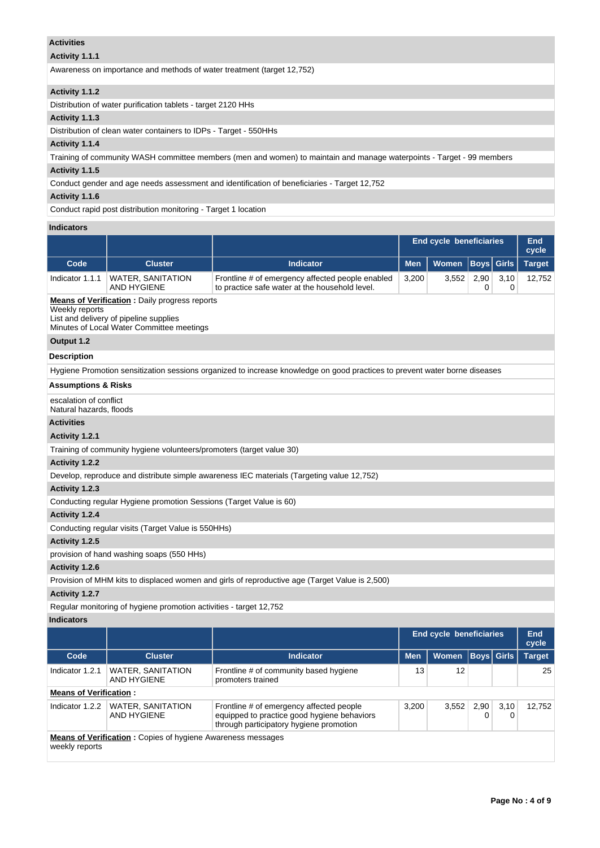## **Activities**

# **Activity 1.1.1**

Awareness on importance and methods of water treatment (target 12,752)

## **Activity 1.1.2**

Distribution of water purification tablets - target 2120 HHs

# **Activity 1.1.3**

Distribution of clean water containers to IDPs - Target - 550HHs

## **Activity 1.1.4**

Training of community WASH committee members (men and women) to maintain and manage waterpoints - Target - 99 members

# **Activity 1.1.5**

Conduct gender and age needs assessment and identification of beneficiaries - Target 12,752

# **Activity 1.1.6**

Conduct rapid post distribution monitoring - Target 1 location

## **Indicators**

|                                                                                                                                                               |                                                                      |                                                                                                                            | <b>End cycle beneficiaries</b>                     |       |      |              |               |  |  |  |
|---------------------------------------------------------------------------------------------------------------------------------------------------------------|----------------------------------------------------------------------|----------------------------------------------------------------------------------------------------------------------------|----------------------------------------------------|-------|------|--------------|---------------|--|--|--|
| Code                                                                                                                                                          | <b>Cluster</b>                                                       | <b>Indicator</b>                                                                                                           | <b>Men</b><br><b>Women</b><br>Boys<br><b>Girls</b> |       |      |              | <b>Target</b> |  |  |  |
| Indicator 1.1.1                                                                                                                                               | <b>WATER, SANITATION</b><br><b>AND HYGIENE</b>                       | Frontline # of emergency affected people enabled<br>to practice safe water at the household level.                         | 3,200<br>3,552<br>2,90<br>3,10<br>0<br>0           |       |      |              |               |  |  |  |
| <b>Means of Verification:</b> Daily progress reports<br>Weekly reports<br>List and delivery of pipeline supplies<br>Minutes of Local Water Committee meetings |                                                                      |                                                                                                                            |                                                    |       |      |              |               |  |  |  |
| Output 1.2                                                                                                                                                    |                                                                      |                                                                                                                            |                                                    |       |      |              |               |  |  |  |
| <b>Description</b>                                                                                                                                            |                                                                      |                                                                                                                            |                                                    |       |      |              |               |  |  |  |
|                                                                                                                                                               |                                                                      | Hygiene Promotion sensitization sessions organized to increase knowledge on good practices to prevent water borne diseases |                                                    |       |      |              |               |  |  |  |
| <b>Assumptions &amp; Risks</b>                                                                                                                                |                                                                      |                                                                                                                            |                                                    |       |      |              |               |  |  |  |
| escalation of conflict<br>Natural hazards, floods                                                                                                             |                                                                      |                                                                                                                            |                                                    |       |      |              |               |  |  |  |
| <b>Activities</b>                                                                                                                                             |                                                                      |                                                                                                                            |                                                    |       |      |              |               |  |  |  |
| Activity 1.2.1                                                                                                                                                |                                                                      |                                                                                                                            |                                                    |       |      |              |               |  |  |  |
|                                                                                                                                                               | Training of community hygiene volunteers/promoters (target value 30) |                                                                                                                            |                                                    |       |      |              |               |  |  |  |
| Activity 1.2.2                                                                                                                                                |                                                                      |                                                                                                                            |                                                    |       |      |              |               |  |  |  |
|                                                                                                                                                               |                                                                      | Develop, reproduce and distribute simple awareness IEC materials (Targeting value 12,752)                                  |                                                    |       |      |              |               |  |  |  |
| Activity 1.2.3                                                                                                                                                |                                                                      |                                                                                                                            |                                                    |       |      |              |               |  |  |  |
|                                                                                                                                                               | Conducting regular Hygiene promotion Sessions (Target Value is 60)   |                                                                                                                            |                                                    |       |      |              |               |  |  |  |
| Activity 1.2.4                                                                                                                                                |                                                                      |                                                                                                                            |                                                    |       |      |              |               |  |  |  |
|                                                                                                                                                               | Conducting regular visits (Target Value is 550HHs)                   |                                                                                                                            |                                                    |       |      |              |               |  |  |  |
| Activity 1.2.5                                                                                                                                                |                                                                      |                                                                                                                            |                                                    |       |      |              |               |  |  |  |
|                                                                                                                                                               | provision of hand washing soaps (550 HHs)                            |                                                                                                                            |                                                    |       |      |              |               |  |  |  |
| Activity 1.2.6                                                                                                                                                |                                                                      |                                                                                                                            |                                                    |       |      |              |               |  |  |  |
|                                                                                                                                                               |                                                                      | Provision of MHM kits to displaced women and girls of reproductive age (Target Value is 2,500)                             |                                                    |       |      |              |               |  |  |  |
| Activity 1.2.7                                                                                                                                                |                                                                      |                                                                                                                            |                                                    |       |      |              |               |  |  |  |
|                                                                                                                                                               | Regular monitoring of hygiene promotion activities - target 12,752   |                                                                                                                            |                                                    |       |      |              |               |  |  |  |
| <b>Indicators</b>                                                                                                                                             |                                                                      |                                                                                                                            |                                                    |       |      |              |               |  |  |  |
|                                                                                                                                                               |                                                                      |                                                                                                                            | End cycle beneficiaries<br>End<br>cycle            |       |      |              |               |  |  |  |
| Code                                                                                                                                                          | <b>Cluster</b>                                                       | <b>Indicator</b>                                                                                                           | <b>Men</b>                                         | Women | Boys | <b>Girls</b> | <b>Target</b> |  |  |  |
| Indicator $1.2.1$                                                                                                                                             | <b>WATER, SANITATION</b>                                             | Frontline # of community based hygiene                                                                                     | 13                                                 | 12    |      |              | 25            |  |  |  |

|  | <b>Means of Verification:</b> |  |
|--|-------------------------------|--|
|  |                               |  |

AND HYGIENE

Indicator 1.2.2 WATER, SANITATION AND HYGIENE Frontline # of emergency affected people equipped to practice good hygiene behaviors through participatory hygiene promotion 3,200 3,552 2,90 0 3,10 0 12,752 **Means of Verification :** Copies of hygiene Awareness messages weekly reports

promoters trained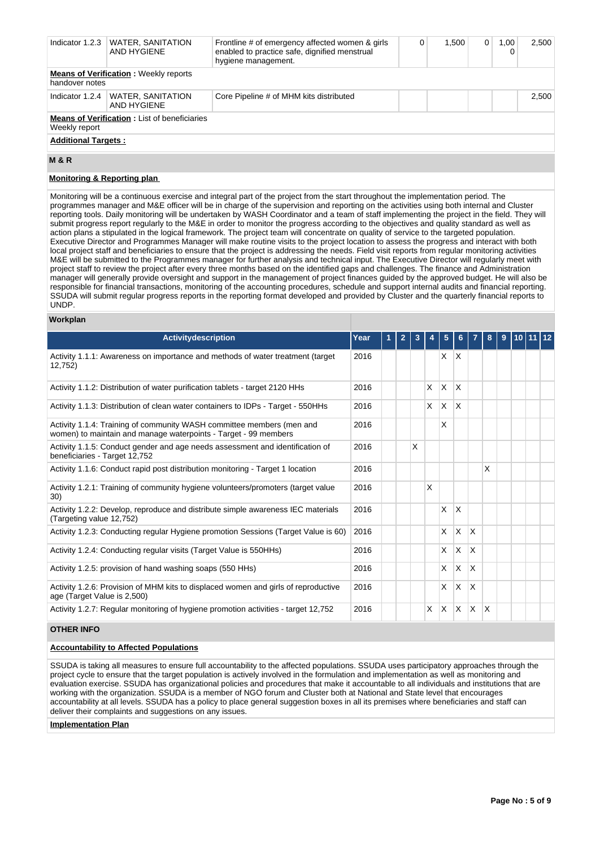| Indicator 1.2.3                                                      | <b>WATER, SANITATION</b><br>AND HYGIENE | Frontline # of emergency affected women & girls<br>enabled to practice safe, dignified menstrual<br>hygiene management. |  | 1.500 | $\overline{0}$ | 1,00<br>0 | 2,500 |
|----------------------------------------------------------------------|-----------------------------------------|-------------------------------------------------------------------------------------------------------------------------|--|-------|----------------|-----------|-------|
| <b>Means of Verification: Weekly reports</b><br>handover notes       |                                         |                                                                                                                         |  |       |                |           |       |
| Indicator 1.2.4                                                      | <b>WATER, SANITATION</b><br>AND HYGIENE | Core Pipeline # of MHM kits distributed                                                                                 |  |       |                |           | 2.500 |
| <b>Means of Verification:</b> List of beneficiaries<br>Weekly report |                                         |                                                                                                                         |  |       |                |           |       |
| <b>Additional Targets:</b>                                           |                                         |                                                                                                                         |  |       |                |           |       |
| <b>M&amp;R</b>                                                       |                                         |                                                                                                                         |  |       |                |           |       |

## **Monitoring & Reporting plan**

Monitoring will be a continuous exercise and integral part of the project from the start throughout the implementation period. The programmes manager and M&E officer will be in charge of the supervision and reporting on the activities using both internal and Cluster reporting tools. Daily monitoring will be undertaken by WASH Coordinator and a team of staff implementing the project in the field. They will submit progress report regularly to the M&E in order to monitor the progress according to the objectives and quality standard as well as action plans a stipulated in the logical framework. The project team will concentrate on quality of service to the targeted population. Executive Director and Programmes Manager will make routine visits to the project location to assess the progress and interact with both local project staff and beneficiaries to ensure that the project is addressing the needs. Field visit reports from regular monitoring activities M&E will be submitted to the Programmes manager for further analysis and technical input. The Executive Director will regularly meet with project staff to review the project after every three months based on the identified gaps and challenges. The finance and Administration manager will generally provide oversight and support in the management of project finances guided by the approved budget. He will also be responsible for financial transactions, monitoring of the accounting procedures, schedule and support internal audits and financial reporting. SSUDA will submit regular progress reports in the reporting format developed and provided by Cluster and the quarterly financial reports to UNDP.

### **Workplan**

| <b>Activitydescription</b>                                                                                                               | Year | $\mathbf{2}$ | 3 |   | 5        | 6.       |   | 8 | 9 | $10$ 11 12 |  |
|------------------------------------------------------------------------------------------------------------------------------------------|------|--------------|---|---|----------|----------|---|---|---|------------|--|
|                                                                                                                                          |      |              |   |   |          |          |   |   |   |            |  |
| Activity 1.1.1: Awareness on importance and methods of water treatment (target<br>12,752)                                                | 2016 |              |   |   | X        | X        |   |   |   |            |  |
| Activity 1.1.2: Distribution of water purification tablets - target 2120 HHs                                                             | 2016 |              |   | X | $\times$ | X        |   |   |   |            |  |
| Activity 1.1.3: Distribution of clean water containers to IDPs - Target - 550HHs                                                         | 2016 |              |   | X | X        | $\times$ |   |   |   |            |  |
| Activity 1.1.4: Training of community WASH committee members (men and<br>women) to maintain and manage waterpoints - Target - 99 members | 2016 |              |   |   | X        |          |   |   |   |            |  |
| Activity 1.1.5: Conduct gender and age needs assessment and identification of<br>beneficiaries - Target 12,752                           | 2016 |              | X |   |          |          |   |   |   |            |  |
| Activity 1.1.6: Conduct rapid post distribution monitoring - Target 1 location                                                           | 2016 |              |   |   |          |          |   | X |   |            |  |
| Activity 1.2.1: Training of community hygiene volunteers/promoters (target value<br>30)                                                  | 2016 |              |   | X |          |          |   |   |   |            |  |
| Activity 1.2.2: Develop, reproduce and distribute simple awareness IEC materials<br>(Targeting value 12,752)                             | 2016 |              |   |   | X        | X        |   |   |   |            |  |
| Activity 1.2.3: Conducting regular Hygiene promotion Sessions (Target Value is 60)                                                       | 2016 |              |   |   | X        | $\times$ | X |   |   |            |  |
| Activity 1.2.4: Conducting regular visits (Target Value is 550HHs)                                                                       | 2016 |              |   |   | X        | X        | X |   |   |            |  |
| Activity 1.2.5: provision of hand washing soaps (550 HHs)                                                                                | 2016 |              |   |   | X        | X        | X |   |   |            |  |
| Activity 1.2.6: Provision of MHM kits to displaced women and girls of reproductive<br>age (Target Value is 2,500)                        | 2016 |              |   |   | X        | X        | X |   |   |            |  |
| Activity 1.2.7: Regular monitoring of hygiene promotion activities - target 12,752                                                       | 2016 |              |   | X | X        | $\times$ | X | X |   |            |  |

## **OTHER INFO**

### **Accountability to Affected Populations**

SSUDA is taking all measures to ensure full accountability to the affected populations. SSUDA uses participatory approaches through the project cycle to ensure that the target population is actively involved in the formulation and implementation as well as monitoring and evaluation exercise. SSUDA has organizational policies and procedures that make it accountable to all individuals and institutions that are working with the organization. SSUDA is a member of NGO forum and Cluster both at National and State level that encourages accountability at all levels. SSUDA has a policy to place general suggestion boxes in all its premises where beneficiaries and staff can deliver their complaints and suggestions on any issues.

**Implementation Plan**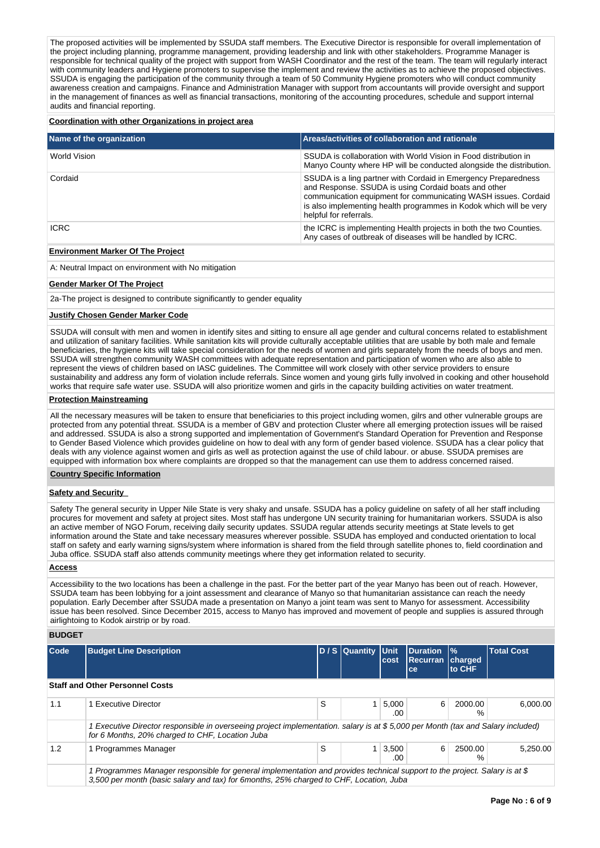The proposed activities will be implemented by SSUDA staff members. The Executive Director is responsible for overall implementation of the project including planning, programme management, providing leadership and link with other stakeholders. Programme Manager is responsible for technical quality of the project with support from WASH Coordinator and the rest of the team. The team will regularly interact with community leaders and Hygiene promoters to supervise the implement and review the activities as to achieve the proposed objectives. SSUDA is engaging the participation of the community through a team of 50 Community Hygiene promoters who will conduct community awareness creation and campaigns. Finance and Administration Manager with support from accountants will provide oversight and support in the management of finances as well as financial transactions, monitoring of the accounting procedures, schedule and support internal audits and financial reporting.

#### **Coordination with other Organizations in project area**

| Name of the organization | Areas/activities of collaboration and rationale                                                                                                                                                                                                                                          |
|--------------------------|------------------------------------------------------------------------------------------------------------------------------------------------------------------------------------------------------------------------------------------------------------------------------------------|
| World Vision             | SSUDA is collaboration with World Vision in Food distribution in<br>Manyo County where HP will be conducted alongside the distribution.                                                                                                                                                  |
| Cordaid                  | SSUDA is a ling partner with Cordaid in Emergency Preparedness<br>and Response. SSUDA is using Cordaid boats and other<br>communication equipment for communicating WASH issues. Cordaid<br>is also implementing health programmes in Kodok which will be very<br>helpful for referrals. |
| <b>ICRC</b>              | the ICRC is implementing Health projects in both the two Counties.<br>Any cases of outbreak of diseases will be handled by ICRC.                                                                                                                                                         |

### **Environment Marker Of The Project**

A: Neutral Impact on environment with No mitigation

### **Gender Marker Of The Project**

2a-The project is designed to contribute significantly to gender equality

### **Justify Chosen Gender Marker Code**

SSUDA will consult with men and women in identify sites and sitting to ensure all age gender and cultural concerns related to establishment and utilization of sanitary facilities. While sanitation kits will provide culturally acceptable utilities that are usable by both male and female beneficiaries, the hygiene kits will take special consideration for the needs of women and girls separately from the needs of boys and men. SSUDA will strengthen community WASH committees with adequate representation and participation of women who are also able to represent the views of children based on IASC guidelines. The Committee will work closely with other service providers to ensure sustainability and address any form of violation include referrals. Since women and young girls fully involved in cooking and other household works that require safe water use. SSUDA will also prioritize women and girls in the capacity building activities on water treatment.

#### **Protection Mainstreaming**

All the necessary measures will be taken to ensure that beneficiaries to this project including women, gilrs and other vulnerable groups are protected from any potential threat. SSUDA is a member of GBV and protection Cluster where all emerging protection issues will be raised and addressed. SSUDA is also a strong supported and implementation of Government's Standard Operation for Prevention and Response to Gender Based Violence which provides guideline on how to deal with any form of gender based violence. SSUDA has a clear policy that deals with any violence against women and girls as well as protection against the use of child labour. or abuse. SSUDA premises are equipped with information box where complaints are dropped so that the management can use them to address concerned raised.

#### **Country Specific Information**

## **Safety and Security**

Safety The general security in Upper Nile State is very shaky and unsafe. SSUDA has a policy guideline on safety of all her staff including procures for movement and safety at project sites. Most staff has undergone UN security training for humanitarian workers. SSUDA is also an active member of NGO Forum, receiving daily security updates. SSUDA regular attends security meetings at State levels to get information around the State and take necessary measures wherever possible. SSUDA has employed and conducted orientation to local staff on safety and early warning signs/system where information is shared from the field through satellite phones to, field coordination and Juba office. SSUDA staff also attends community meetings where they get information related to security.

## **Access**

Accessibility to the two locations has been a challenge in the past. For the better part of the year Manyo has been out of reach. However, SSUDA team has been lobbying for a joint assessment and clearance of Manyo so that humanitarian assistance can reach the needy population. Early December after SSUDA made a presentation on Manyo a joint team was sent to Manyo for assessment. Accessibility issue has been resolved. Since December 2015, access to Manyo has improved and movement of people and supplies is assured through airlightoing to Kodok airstrip or by road.

**BUDGET**

| Code                                   | <b>Budget Line Description</b>                                                                                                                                                                                       |   | D / S Quantity Unit | lcost                      | <b>Duration</b><br><b>Recurran</b><br>ce | $\frac{9}{6}$<br><b>charged</b><br><b>to CHF</b> | <b>Total Cost</b> |  |  |
|----------------------------------------|----------------------------------------------------------------------------------------------------------------------------------------------------------------------------------------------------------------------|---|---------------------|----------------------------|------------------------------------------|--------------------------------------------------|-------------------|--|--|
| <b>Staff and Other Personnel Costs</b> |                                                                                                                                                                                                                      |   |                     |                            |                                          |                                                  |                   |  |  |
| 1.1                                    | 1 Executive Director                                                                                                                                                                                                 | S |                     | 5.000<br>.00               | 6                                        | 2000.00<br>%                                     | 6.000.00          |  |  |
|                                        | 1 Executive Director responsible in overseeing project implementation. salary is at \$5,000 per Month (tax and Salary included)<br>for 6 Months, 20% charged to CHF, Location Juba                                   |   |                     |                            |                                          |                                                  |                   |  |  |
| 1.2                                    | 1 Programmes Manager                                                                                                                                                                                                 | S |                     | $1 \mid 3,500 \mid$<br>.00 | 6                                        | 2500.00<br>℅                                     | 5.250.00          |  |  |
|                                        | 1 Programmes Manager responsible for general implementation and provides technical support to the project. Salary is at \$<br>3,500 per month (basic salary and tax) for 6months, 25% charged to CHF, Location, Juba |   |                     |                            |                                          |                                                  |                   |  |  |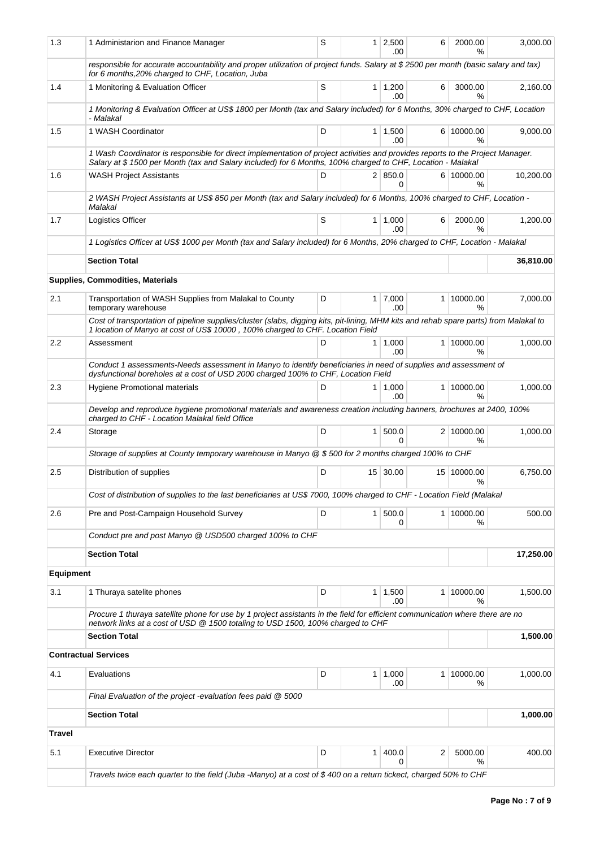| 1.3              | 1 Administarion and Finance Manager                                                                                                                                                                                                          | S         |                | $1 \ 2,500$<br>.00     | 6 | 2000.00<br>℅       | 3,000.00  |  |  |  |  |  |
|------------------|----------------------------------------------------------------------------------------------------------------------------------------------------------------------------------------------------------------------------------------------|-----------|----------------|------------------------|---|--------------------|-----------|--|--|--|--|--|
|                  | responsible for accurate accountability and proper utilization of project funds. Salary at \$2500 per month (basic salary and tax)<br>for 6 months, 20% charged to CHF, Location, Juba                                                       |           |                |                        |   |                    |           |  |  |  |  |  |
| 1.4              | 1 Monitoring & Evaluation Officer                                                                                                                                                                                                            | S         |                | $1 \mid 1,200$<br>.00. | 6 | 3000.00<br>$\%$    | 2,160.00  |  |  |  |  |  |
|                  | 1 Monitoring & Evaluation Officer at US\$ 1800 per Month (tax and Salary included) for 6 Months, 30% charged to CHF, Location<br>- Malakal                                                                                                   |           |                |                        |   |                    |           |  |  |  |  |  |
| 1.5              | 1 WASH Coordinator                                                                                                                                                                                                                           | D         |                | $1 \mid 1,500$<br>.00  |   | 6 10000.00<br>%    | 9,000.00  |  |  |  |  |  |
|                  | 1 Wash Coordinator is responsible for direct implementation of project activities and provides reports to the Project Manager.<br>Salary at \$1500 per Month (tax and Salary included) for 6 Months, 100% charged to CHF, Location - Malakal |           |                |                        |   |                    |           |  |  |  |  |  |
| 1.6              | <b>WASH Project Assistants</b>                                                                                                                                                                                                               | D         |                | 2   850.0<br>$\Omega$  |   | 6 10000.00<br>%    | 10,200.00 |  |  |  |  |  |
|                  | 2 WASH Project Assistants at US\$ 850 per Month (tax and Salary included) for 6 Months, 100% charged to CHF, Location -<br>Malakal                                                                                                           |           |                |                        |   |                    |           |  |  |  |  |  |
| 1.7              | Logistics Officer                                                                                                                                                                                                                            | S         |                | 1   1,000<br>.00.      | 6 | 2000.00<br>$\%$    | 1,200.00  |  |  |  |  |  |
|                  | 1 Logistics Officer at US\$ 1000 per Month (tax and Salary included) for 6 Months, 20% charged to CHF, Location - Malakal                                                                                                                    |           |                |                        |   |                    |           |  |  |  |  |  |
|                  | <b>Section Total</b>                                                                                                                                                                                                                         |           |                | 36,810.00              |   |                    |           |  |  |  |  |  |
|                  | <b>Supplies, Commodities, Materials</b>                                                                                                                                                                                                      |           |                |                        |   |                    |           |  |  |  |  |  |
| 2.1              | Transportation of WASH Supplies from Malakal to County<br>temporary warehouse                                                                                                                                                                | D         |                | $1 \mid 7,000$<br>.00  |   | 1 10000.00<br>℅    | 7,000.00  |  |  |  |  |  |
|                  | Cost of transportation of pipeline supplies/cluster (slabs, digging kits, pit-lining, MHM kits and rehab spare parts) from Malakal to<br>1 location of Manyo at cost of US\$ 10000, 100% charged to CHF. Location Field                      |           |                |                        |   |                    |           |  |  |  |  |  |
| $2.2\,$          | Assessment                                                                                                                                                                                                                                   | D         | 1 <sup>1</sup> | 1,000<br>.00           |   | 1 10000.00<br>%    | 1,000.00  |  |  |  |  |  |
|                  | Conduct 1 assessments-Needs assessment in Manyo to identify beneficiaries in need of supplies and assessment of<br>dysfunctional boreholes at a cost of USD 2000 charged 100% to CHF, Location Field                                         |           |                |                        |   |                    |           |  |  |  |  |  |
| 2.3              | Hygiene Promotional materials                                                                                                                                                                                                                | D         |                | $1 \mid 1,000$<br>.00. |   | 1 10000.00<br>$\%$ | 1,000.00  |  |  |  |  |  |
|                  | Develop and reproduce hygiene promotional materials and awareness creation including banners, brochures at 2400, 100%<br>charged to CHF - Location Malakal field Office                                                                      |           |                |                        |   |                    |           |  |  |  |  |  |
| 2.4              | Storage                                                                                                                                                                                                                                      | D         |                | 1   500.0<br>0         |   | 2 10000.00<br>%    | 1.000.00  |  |  |  |  |  |
|                  | Storage of supplies at County temporary warehouse in Manyo @ \$500 for 2 months charged 100% to CHF                                                                                                                                          |           |                |                        |   |                    |           |  |  |  |  |  |
| 2.5              | Distribution of supplies                                                                                                                                                                                                                     | D         |                | 15 30.00               |   | 15 10000.00<br>%   | 6,750.00  |  |  |  |  |  |
|                  | Cost of distribution of supplies to the last beneficiaries at US\$ 7000, 100% charged to CHF - Location Field (Malakal                                                                                                                       |           |                |                        |   |                    |           |  |  |  |  |  |
| 2.6              | Pre and Post-Campaign Household Survey                                                                                                                                                                                                       | D         |                | 1 500.0<br>0           |   | 1 10000.00<br>%    | 500.00    |  |  |  |  |  |
|                  | Conduct pre and post Manyo @ USD500 charged 100% to CHF                                                                                                                                                                                      |           |                |                        |   |                    |           |  |  |  |  |  |
|                  | <b>Section Total</b>                                                                                                                                                                                                                         | 17,250.00 |                |                        |   |                    |           |  |  |  |  |  |
| <b>Equipment</b> |                                                                                                                                                                                                                                              |           |                |                        |   |                    |           |  |  |  |  |  |
| 3.1              | 1 Thuraya satelite phones                                                                                                                                                                                                                    | D         |                | $1 \mid 1,500$<br>.00  |   | 1 10000.00<br>%    | 1,500.00  |  |  |  |  |  |
|                  | Procure 1 thuraya satellite phone for use by 1 project assistants in the field for efficient communication where there are no<br>network links at a cost of USD @ 1500 totaling to USD 1500, 100% charged to CHF                             |           |                |                        |   |                    |           |  |  |  |  |  |
|                  | <b>Section Total</b>                                                                                                                                                                                                                         |           |                |                        |   |                    | 1,500.00  |  |  |  |  |  |
|                  | <b>Contractual Services</b>                                                                                                                                                                                                                  |           |                |                        |   |                    |           |  |  |  |  |  |
| 4.1              | Evaluations                                                                                                                                                                                                                                  | D         |                | $1 \mid 1,000$<br>.00  |   | 1 10000.00<br>℅    | 1,000.00  |  |  |  |  |  |
|                  | Final Evaluation of the project -evaluation fees paid @ 5000                                                                                                                                                                                 |           |                |                        |   |                    |           |  |  |  |  |  |
|                  | <b>Section Total</b>                                                                                                                                                                                                                         |           |                |                        |   |                    | 1,000.00  |  |  |  |  |  |
| <b>Travel</b>    |                                                                                                                                                                                                                                              |           |                |                        |   |                    |           |  |  |  |  |  |
| 5.1              | <b>Executive Director</b>                                                                                                                                                                                                                    | D         | 1 <sup>1</sup> | 400.0<br>0             | 2 | 5000.00<br>℅       | 400.00    |  |  |  |  |  |
|                  | Travels twice each quarter to the field (Juba -Manyo) at a cost of \$400 on a return tickect, charged 50% to CHF                                                                                                                             |           |                |                        |   |                    |           |  |  |  |  |  |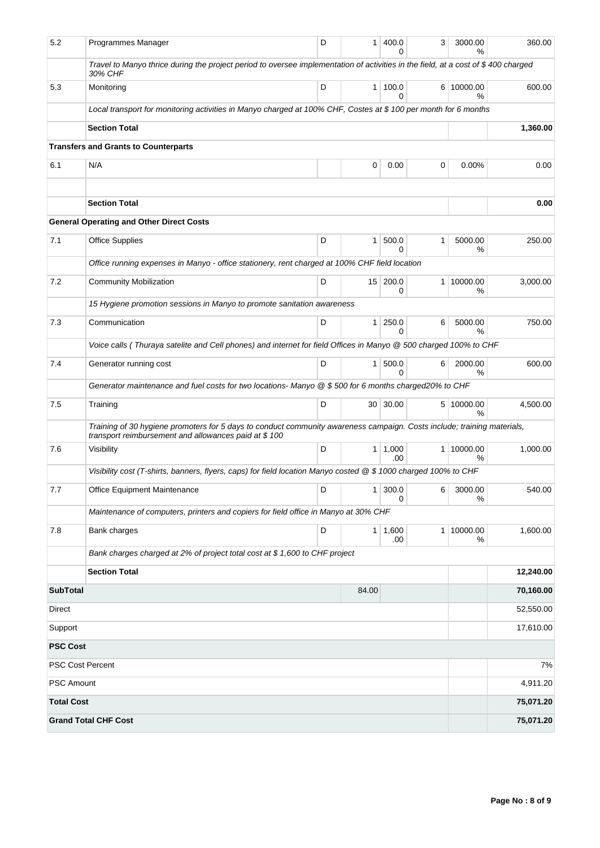| 5.2               | Programmes Manager                                                                                                                                                              | D | 1               | 400.0<br>0            | 3              | 3000.00<br>%    | 360.00    |  |  |  |
|-------------------|---------------------------------------------------------------------------------------------------------------------------------------------------------------------------------|---|-----------------|-----------------------|----------------|-----------------|-----------|--|--|--|
|                   | Travel to Manyo thrice during the project period to oversee implementation of activities in the field, at a cost of \$400 charged<br>30% CHF                                    |   |                 |                       |                |                 |           |  |  |  |
| 5.3               | Monitoring                                                                                                                                                                      | D | $\mathbf{1}$    | 100.0<br>0            |                | 6 10000.00<br>% | 600.00    |  |  |  |
|                   | Local transport for monitoring activities in Manyo charged at 100% CHF, Costes at \$100 per month for 6 months                                                                  |   |                 |                       |                |                 |           |  |  |  |
|                   | <b>Section Total</b>                                                                                                                                                            |   |                 |                       |                |                 | 1,360.00  |  |  |  |
|                   | <b>Transfers and Grants to Counterparts</b>                                                                                                                                     |   |                 |                       |                |                 |           |  |  |  |
| 6.1               | N/A                                                                                                                                                                             |   | 0               | 0.00                  | 0              | 0.00%           | 0.00      |  |  |  |
|                   | <b>Section Total</b>                                                                                                                                                            |   |                 |                       |                |                 | 0.00      |  |  |  |
|                   | <b>General Operating and Other Direct Costs</b>                                                                                                                                 |   |                 |                       |                |                 |           |  |  |  |
| 7.1               | <b>Office Supplies</b>                                                                                                                                                          | D | 1               | 500.0<br>0            | 1              | 5000.00<br>%    | 250.00    |  |  |  |
|                   | Office running expenses in Manyo - office stationery, rent charged at 100% CHF field location                                                                                   |   |                 |                       |                |                 |           |  |  |  |
| 7.2               | <b>Community Mobilization</b>                                                                                                                                                   | D | 15 <sup>1</sup> | 200.0<br>0            | 1 <sup>1</sup> | 10000.00<br>%   | 3,000.00  |  |  |  |
|                   | 15 Hygiene promotion sessions in Manyo to promote sanitation awareness                                                                                                          |   |                 |                       |                |                 |           |  |  |  |
| 7.3               | Communication                                                                                                                                                                   | D | $\mathbf{1}$    | 250.0<br><sup>0</sup> | 6              | 5000.00<br>%    | 750.00    |  |  |  |
|                   | Voice calls (Thuraya satelite and Cell phones) and internet for field Offices in Manyo @ 500 charged 100% to CHF                                                                |   |                 |                       |                |                 |           |  |  |  |
| 7.4               | Generator running cost                                                                                                                                                          | D | $\mathbf{1}$    | 500.0<br>$\Omega$     | 6              | 2000.00<br>%    | 600.00    |  |  |  |
|                   | Generator maintenance and fuel costs for two locations-Manyo @ \$500 for 6 months charged20% to CHF                                                                             |   |                 |                       |                |                 |           |  |  |  |
| 7.5               | Training                                                                                                                                                                        | D | 30 <sup>1</sup> | 30.00                 |                | 5 10000.00<br>% | 4,500.00  |  |  |  |
|                   | Training of 30 hygiene promoters for 5 days to conduct community awareness campaign. Costs include; training materials,<br>transport reimbursement and allowances paid at \$100 |   |                 |                       |                |                 |           |  |  |  |
| 7.6               | Visibility                                                                                                                                                                      | D | 1               | 1,000<br>.00          | 1              | 10000.00<br>%   | 1,000.00  |  |  |  |
|                   | Visibility cost (T-shirts, banners, flyers, caps) for field location Manyo costed @ \$ 1000 charged 100% to CHF                                                                 |   |                 |                       |                |                 |           |  |  |  |
| 7.7               | Office Equipment Maintenance                                                                                                                                                    | D | 1               | 300.0<br>0            | 6              | 3000.00<br>%    | 540.00    |  |  |  |
|                   | Maintenance of computers, printers and copiers for field office in Manyo at 30% CHF                                                                                             |   |                 |                       |                |                 |           |  |  |  |
| 7.8               | Bank charges                                                                                                                                                                    | D |                 | $1 \mid 1,600$<br>.00 | 1 <sup>1</sup> | 10000.00<br>%   | 1,600.00  |  |  |  |
|                   | Bank charges charged at 2% of project total cost at \$1,600 to CHF project                                                                                                      |   |                 |                       |                |                 |           |  |  |  |
|                   | <b>Section Total</b>                                                                                                                                                            |   |                 |                       |                |                 | 12,240.00 |  |  |  |
| <b>SubTotal</b>   |                                                                                                                                                                                 |   | 84.00           |                       |                |                 | 70,160.00 |  |  |  |
| Direct            |                                                                                                                                                                                 |   |                 |                       |                |                 | 52,550.00 |  |  |  |
| Support           |                                                                                                                                                                                 |   |                 |                       |                |                 | 17,610.00 |  |  |  |
| <b>PSC Cost</b>   |                                                                                                                                                                                 |   |                 |                       |                |                 |           |  |  |  |
|                   | <b>PSC Cost Percent</b>                                                                                                                                                         |   |                 |                       |                |                 | 7%        |  |  |  |
| <b>PSC Amount</b> |                                                                                                                                                                                 |   |                 |                       |                |                 | 4,911.20  |  |  |  |
| <b>Total Cost</b> |                                                                                                                                                                                 |   |                 |                       |                |                 | 75,071.20 |  |  |  |
|                   | <b>Grand Total CHF Cost</b>                                                                                                                                                     |   |                 |                       |                |                 | 75,071.20 |  |  |  |